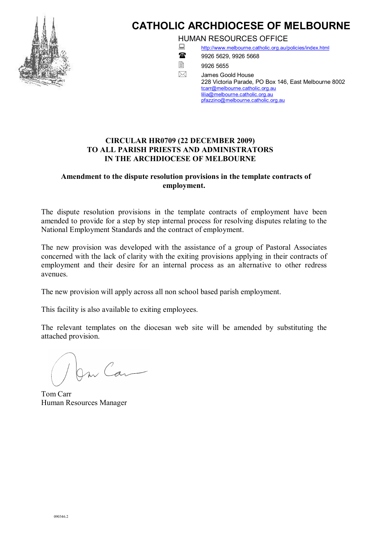

## **CATHOLIC ARCHDIOCESE OF MELBOURNE**

HUMAN RESOURCES OFFICE

<http://www.melbourne.catholic.org.au/policies/index.html> 1888 9926 5629, 9926 5668

 $\overline{2}$  9926 5655 James Goold House 228 Victoria Parade, PO Box 146, East Melbourne 8002 [tcarr@melbourne.catholic.org.au](mailto:tcarr@melbourne.catholic.org.au) [lilia@melbourne.catholic.org.au](mailto:rodparker@melbourne.catholic.org.au) [pfazzino@melbourne.catholic.org.au](mailto:pfazzino@melbourne.catholic.org.au)

## **CIRCULAR HR0709 (22 DECEMBER 2009) TO ALL PARISH PRIESTS AND ADMINISTRATORS IN THE ARCHDIOCESE OF MELBOURNE**

## **Amendment to the dispute resolution provisions in the template contracts of employment.**

The dispute resolution provisions in the template contracts of employment have been amended to provide for a step by step internal process for resolving disputes relating to the National Employment Standards and the contract of employment.

The new provision was developed with the assistance of a group of Pastoral Associates concerned with the lack of clarity with the exiting provisions applying in their contracts of employment and their desire for an internal process as an alternative to other redress avenues.

The new provision will apply across all non school based parish employment.

This facility is also available to exiting employees.

The relevant templates on the diocesan web site will be amended by substituting the attached provision.

On Can

Tom Carr Human Resources Manager